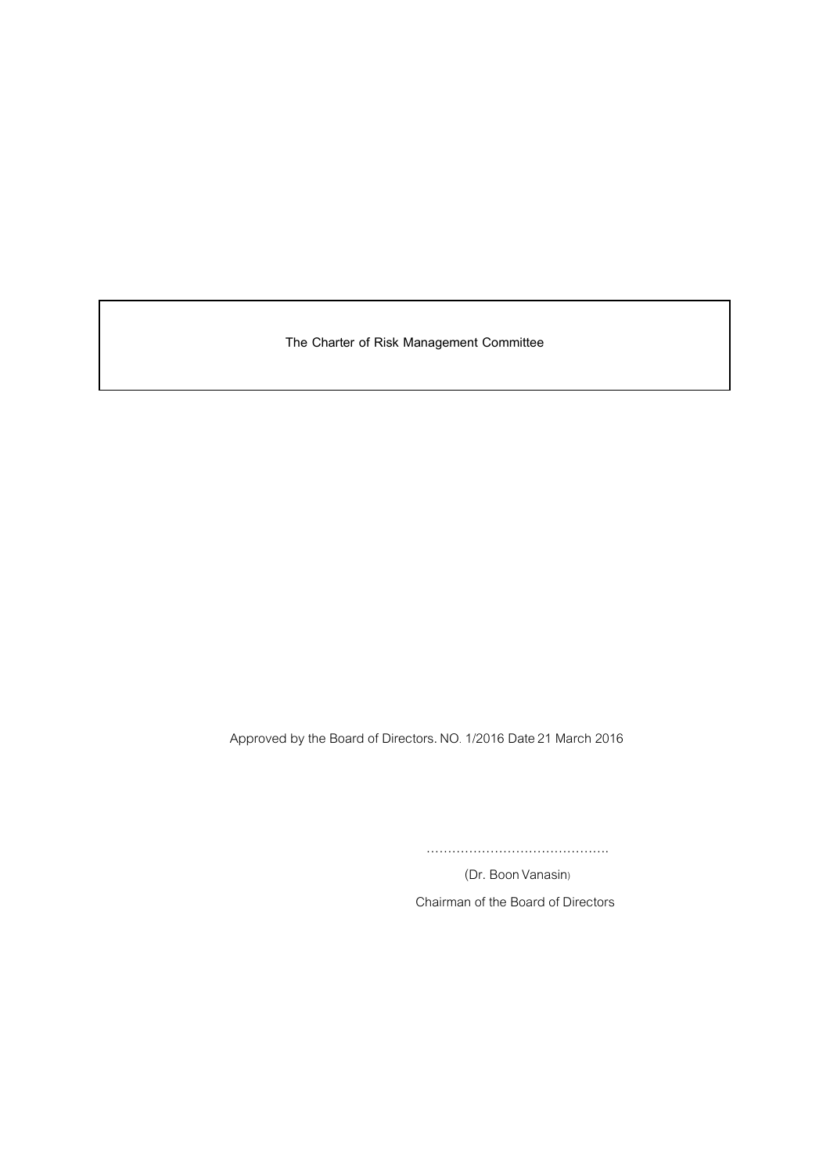**The Charter of Risk Management Committee**

Approved by the Board of Directors. NO.1/2016 Date21 March 2016

…………………………………….

(Dr. Boon Vanasin) Chairman of the Board of Directors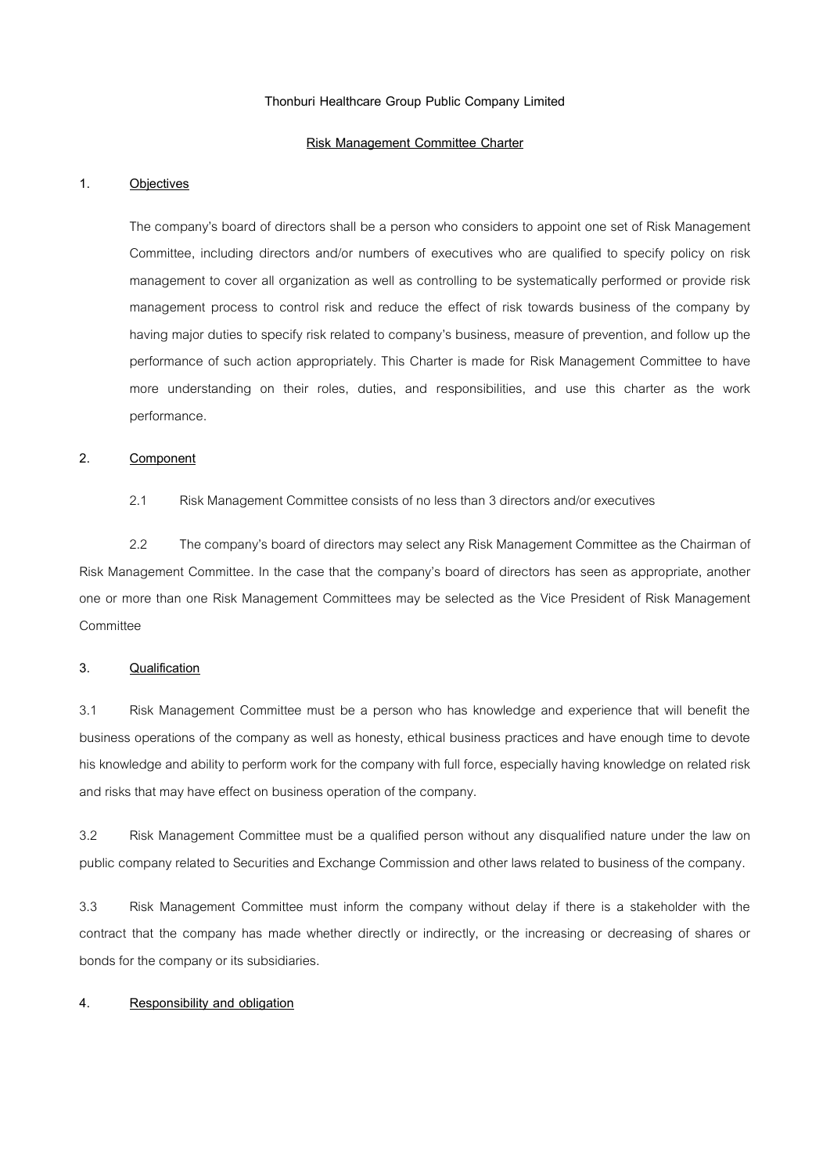### **Thonburi Healthcare Group Public Company Limited**

#### **Risk Management Committee Charter**

### **1. Objectives**

The company's board of directors shall be a person who considers to appoint one set of Risk Management Committee, including directors and/or numbers of executives who are qualified to specify policy on risk management to cover all organization as well as controlling to be systematically performed or provide risk management process to control risk and reduce the effect of risk towards business of the company by having major duties to specify risk related to company's business, measure of prevention, and follow up the performance of such action appropriately. This Charter is made for Risk Management Committee to have more understanding on their roles, duties, and responsibilities, and use this charter as the work performance.

## **2. Component**

## 2.1 Risk Management Committeeconsists of no less than 3 directors and/or executives

2.2 The company's board of directors may select any Risk Management Committee as the Chairman of Risk Management Committee. In the case that the company's board of directors has seen as appropriate, another one or more than one Risk Management Committees may be selected as the Vice President of Risk Management Committee

#### **3. Qualification**

3.1 Risk Management Committee must be a person who has knowledge and experience that will benefit the business operations of the company as well as honesty, ethical business practices and have enough time to devote his knowledge and ability to perform work for the company with full force, especially having knowledge on related risk and risks that may have effect on business operation of the company.

3.2 Risk Management Committee must be a qualified person without any disqualified nature under the law on public company related to Securities and Exchange Commission and other laws related to business of the company.

3.3 Risk Management Committee must inform the company without delay if there is a stakeholder with the contract that the company has made whether directly or indirectly, or the increasing or decreasing of shares or bonds for the company or its subsidiaries.

### **4. Responsibility and obligation**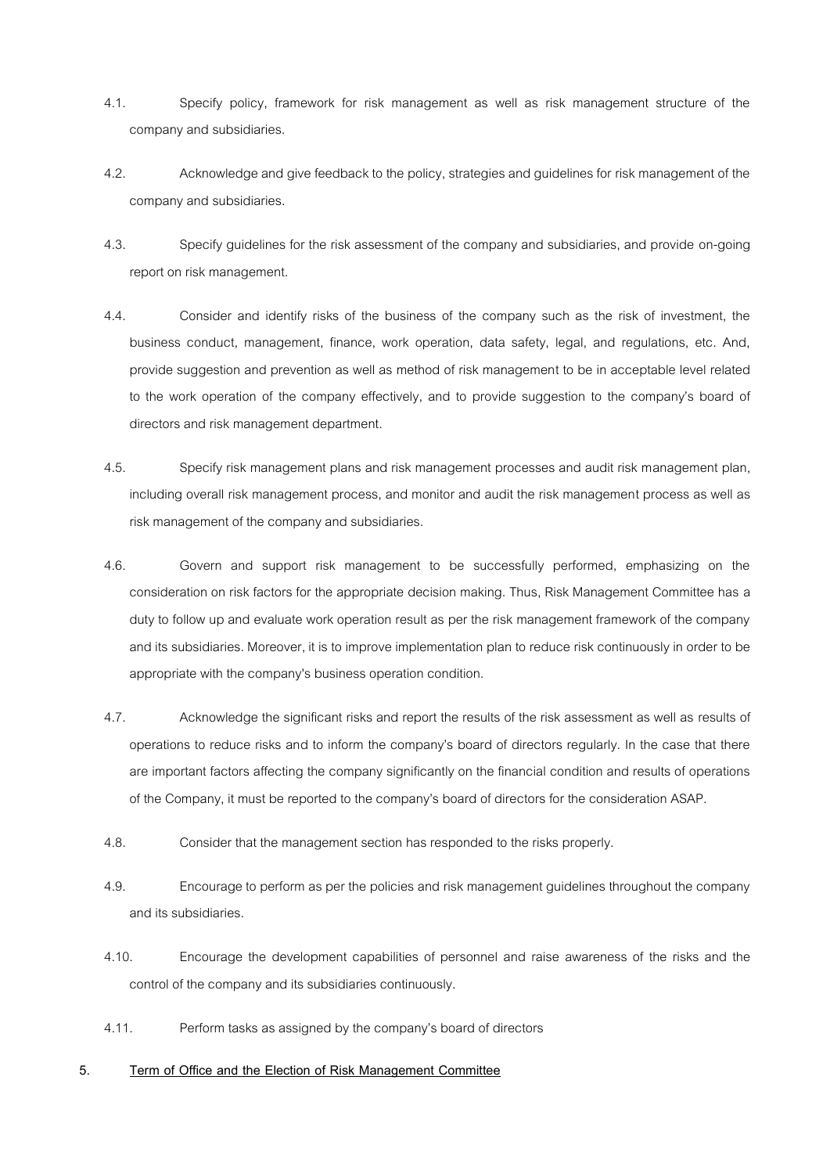- 4.1. Specify policy, framework for risk management as well as risk management structure of the company and subsidiaries.
- 4.2. Acknowledge and give feedback to the policy, strategies and guidelines for risk management of the company and subsidiaries.
- 4.3. Specify guidelines for the risk assessment of the company and subsidiaries, and provide on-going report on risk management.
- 4.4. Consider and identify risks of the business of the company such as the risk of investment, the business conduct, management, finance, work operation, data safety, legal, and regulations, etc. And, provide suggestion and prevention as well as method of risk management to be in acceptable level related to the work operation of the company effectively, and to provide suggestion to the company's board of directors and risk management department.
- 4.5. Specify risk management plans and risk management processes and audit risk management plan, including overall risk management process, and monitor and audit the risk management process as well as risk management of the company and subsidiaries.
- 4.6. Govern and support risk management to be successfully performed, emphasizing on the consideration on risk factors for the appropriate decision making. Thus, Risk Management Committee has a duty to follow up and evaluate work operation result as per the risk management framework of the company and its subsidiaries. Moreover, it is to improve implementation plan to reduce risk continuously in order to be appropriate with the company's business operation condition.
- 4.7. Acknowledge the significant risks and report the results of the risk assessment as well as results of operations to reduce risks and to inform the company's board of directors regularly. In the case that there are important factors affecting the company significantly on the financial condition and results of operations of the Company, it must be reported to the company's board of directors for the consideration ASAP.
- 4.8. Consider that the management section has responded to the risks properly.
- 4.9. Encourage to perform as per the policies and risk management guidelines throughout the company and its subsidiaries.
- 4.10. Encourage the development capabilities of personnel and raise awareness of the risks and the control of the company and its subsidiaries continuously.
- 4.11. Perform tasks as assigned by the company's board of directors

# **5. Term of Office and the Election of Risk Management Committee**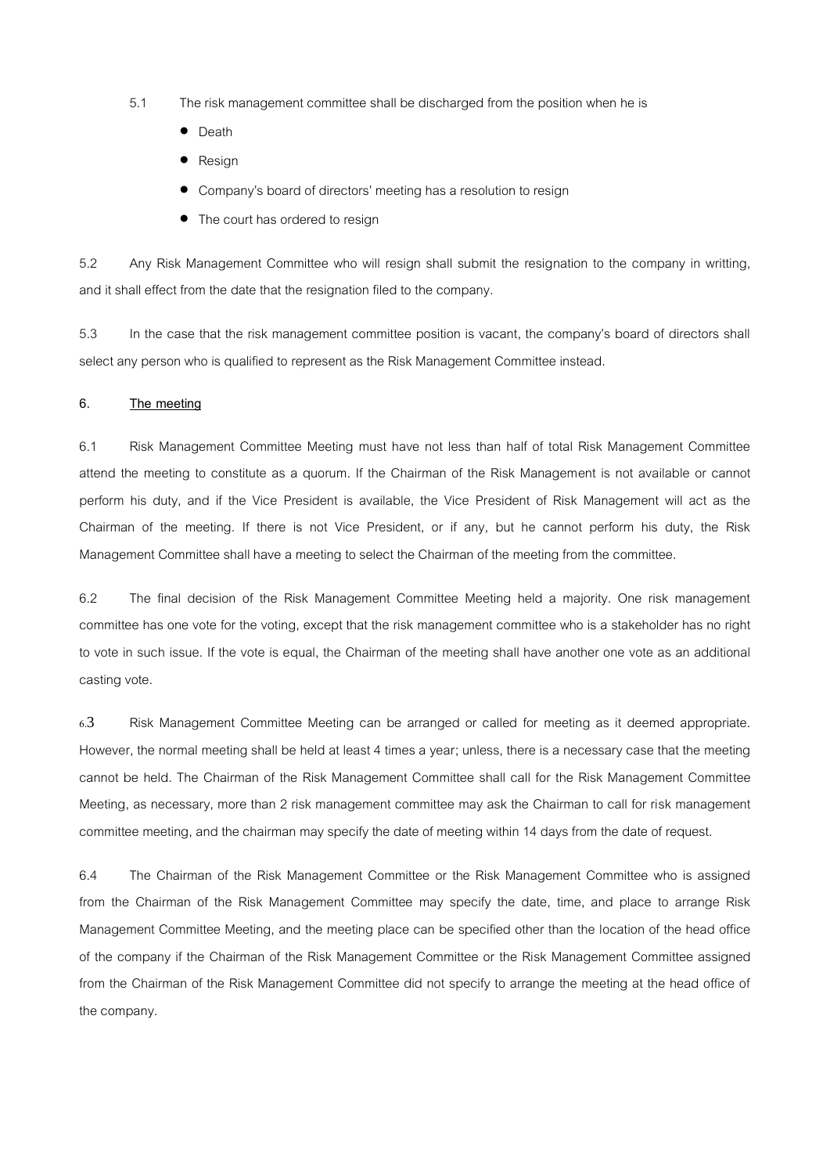- 5.1 The risk management committee shall be discharged from the position when he is
	- Death
	- **Resign**
	- Company's board of directors' meeting has a resolution to resign
	- The court has ordered to resign

5.2 Any Risk Management Committee who will resign shall submit the resignation to the company in writting, and it shall effect from the date that the resignation filed to the company.

5.3 In the case that the risk management committee position is vacant, the company's board of directors shall select any person who is qualified to represent as the Risk Management Committee instead.

### **6. The meeting**

6.1 Risk Management Committee Meeting must have not less than half of total Risk Management Committee attend the meeting to constitute as a quorum. If the Chairman of the Risk Management is not available or cannot perform his duty, and if the Vice President is available, the Vice President of Risk Management will act as the Chairman of the meeting. If there is not Vice President, or if any, but he cannot perform his duty, the Risk Management Committee shall have a meeting to select the Chairman of the meeting from the committee.

6.2 The final decision of the Risk Management Committee Meeting held a majority. One risk management committee has one vote for the voting, except that the risk management committee who is a stakeholder has no right to vote in such issue. If the vote is equal, the Chairman of the meeting shall have another one vote as an additional casting vote.

6.3 Risk Management Committee Meeting can be arranged or called for meeting as it deemed appropriate. However, the normal meeting shall be held at least 4 times a year; unless, there is a necessary case that the meeting cannot be held. The Chairman of the Risk Management Committee shall call for the Risk Management Committee Meeting, as necessary, more than 2 risk management committee may ask the Chairman to call for risk management committee meeting, and the chairman may specify the date of meeting within 14 days from the date of request.

6.4 The Chairman of the Risk Management Committee or the Risk Management Committee who is assigned from the Chairman of the Risk Management Committee may specify the date, time, and place to arrange Risk Management Committee Meeting, and the meeting place can be specified other than the location of the head office of the company if the Chairman of the Risk Management Committee or the Risk Management Committee assigned from the Chairman of the Risk Management Committee did not specify to arrange the meeting at the head office of the company.